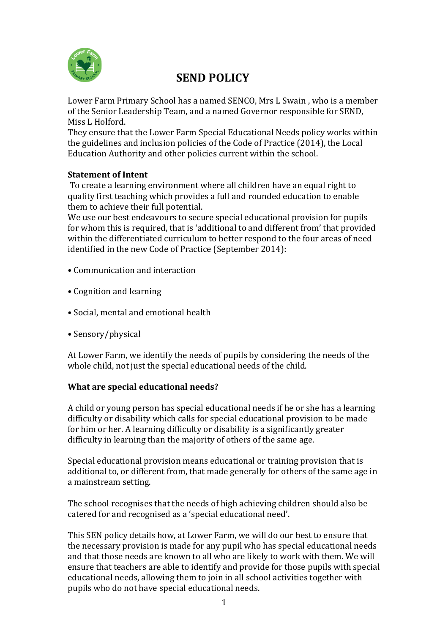

# **SEND POLICY**

Lower Farm Primary School has a named SENCO, Mrs L Swain , who is a member of the Senior Leadership Team, and a named Governor responsible for SEND, Miss L Holford.

They ensure that the Lower Farm Special Educational Needs policy works within the guidelines and inclusion policies of the Code of Practice (2014), the Local Education Authority and other policies current within the school.

#### **Statement of Intent**

To create a learning environment where all children have an equal right to quality first teaching which provides a full and rounded education to enable them to achieve their full potential.

We use our best endeavours to secure special educational provision for pupils for whom this is required, that is 'additional to and different from' that provided within the differentiated curriculum to better respond to the four areas of need identified in the new Code of Practice (September 2014):

- Communication and interaction
- Cognition and learning
- Social, mental and emotional health
- Sensory/physical

At Lower Farm, we identify the needs of pupils by considering the needs of the whole child, not just the special educational needs of the child.

# **What are special educational needs?**

A child or young person has special educational needs if he or she has a learning difficulty or disability which calls for special educational provision to be made for him or her. A learning difficulty or disability is a significantly greater difficulty in learning than the majority of others of the same age.

Special educational provision means educational or training provision that is additional to, or different from, that made generally for others of the same age in a mainstream setting.

The school recognises that the needs of high achieving children should also be catered for and recognised as a 'special educational need'.

This SEN policy details how, at Lower Farm, we will do our best to ensure that the necessary provision is made for any pupil who has special educational needs and that those needs are known to all who are likely to work with them. We will ensure that teachers are able to identify and provide for those pupils with special educational needs, allowing them to join in all school activities together with pupils who do not have special educational needs.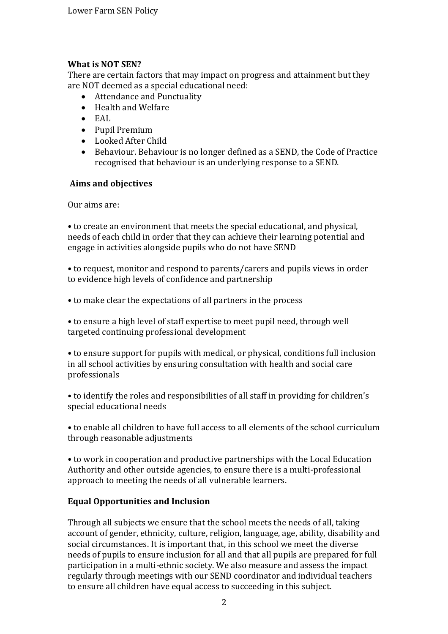## **What is NOT SEN?**

There are certain factors that may impact on progress and attainment but they are NOT deemed as a special educational need:

- Attendance and Punctuality
- Health and Welfare
- EAL
- Pupil Premium
- Looked After Child
- Behaviour. Behaviour is no longer defined as a SEND, the Code of Practice recognised that behaviour is an underlying response to a SEND.

#### **Aims and objectives**

Our aims are:

• to create an environment that meets the special educational, and physical, needs of each child in order that they can achieve their learning potential and engage in activities alongside pupils who do not have SEND

• to request, monitor and respond to parents/carers and pupils views in order to evidence high levels of confidence and partnership

• to make clear the expectations of all partners in the process

• to ensure a high level of staff expertise to meet pupil need, through well targeted continuing professional development

• to ensure support for pupils with medical, or physical, conditions full inclusion in all school activities by ensuring consultation with health and social care professionals

• to identify the roles and responsibilities of all staff in providing for children's special educational needs

• to enable all children to have full access to all elements of the school curriculum through reasonable adjustments

• to work in cooperation and productive partnerships with the Local Education Authority and other outside agencies, to ensure there is a multi-professional approach to meeting the needs of all vulnerable learners.

# **Equal Opportunities and Inclusion**

Through all subjects we ensure that the school meets the needs of all, taking account of gender, ethnicity, culture, religion, language, age, ability, disability and social circumstances. It is important that, in this school we meet the diverse needs of pupils to ensure inclusion for all and that all pupils are prepared for full participation in a multi-ethnic society. We also measure and assess the impact regularly through meetings with our SEND coordinator and individual teachers to ensure all children have equal access to succeeding in this subject.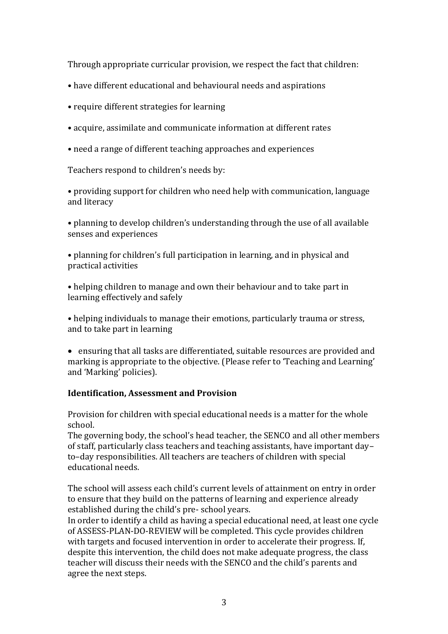Through appropriate curricular provision, we respect the fact that children:

- have different educational and behavioural needs and aspirations
- require different strategies for learning
- acquire, assimilate and communicate information at different rates
- need a range of different teaching approaches and experiences

Teachers respond to children's needs by:

• providing support for children who need help with communication, language and literacy

• planning to develop children's understanding through the use of all available senses and experiences

• planning for children's full participation in learning, and in physical and practical activities

• helping children to manage and own their behaviour and to take part in learning effectively and safely

• helping individuals to manage their emotions, particularly trauma or stress, and to take part in learning

 ensuring that all tasks are differentiated, suitable resources are provided and marking is appropriate to the objective. (Please refer to 'Teaching and Learning' and 'Marking' policies).

#### **Identification, Assessment and Provision**

Provision for children with special educational needs is a matter for the whole school.

The governing body, the school's head teacher, the SENCO and all other members of staff, particularly class teachers and teaching assistants, have important day– to–day responsibilities. All teachers are teachers of children with special educational needs.

The school will assess each child's current levels of attainment on entry in order to ensure that they build on the patterns of learning and experience already established during the child's pre- school years.

In order to identify a child as having a special educational need, at least one cycle of ASSESS-PLAN-DO-REVIEW will be completed. This cycle provides children with targets and focused intervention in order to accelerate their progress. If, despite this intervention, the child does not make adequate progress, the class teacher will discuss their needs with the SENCO and the child's parents and agree the next steps.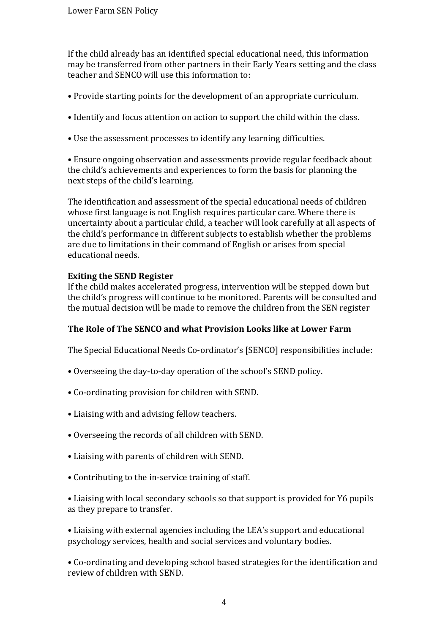If the child already has an identified special educational need, this information may be transferred from other partners in their Early Years setting and the class teacher and SENCO will use this information to:

- Provide starting points for the development of an appropriate curriculum.
- Identify and focus attention on action to support the child within the class.
- Use the assessment processes to identify any learning difficulties.

• Ensure ongoing observation and assessments provide regular feedback about the child's achievements and experiences to form the basis for planning the next steps of the child's learning.

The identification and assessment of the special educational needs of children whose first language is not English requires particular care. Where there is uncertainty about a particular child, a teacher will look carefully at all aspects of the child's performance in different subjects to establish whether the problems are due to limitations in their command of English or arises from special educational needs.

## **Exiting the SEND Register**

If the child makes accelerated progress, intervention will be stepped down but the child's progress will continue to be monitored. Parents will be consulted and the mutual decision will be made to remove the children from the SEN register

#### **The Role of The SENCO and what Provision Looks like at Lower Farm**

The Special Educational Needs Co-ordinator's [SENCO] responsibilities include:

- Overseeing the day-to-day operation of the school's SEND policy.
- Co-ordinating provision for children with SEND.
- Liaising with and advising fellow teachers.
- Overseeing the records of all children with SEND.
- Liaising with parents of children with SEND.
- Contributing to the in-service training of staff.

• Liaising with local secondary schools so that support is provided for Y6 pupils as they prepare to transfer.

• Liaising with external agencies including the LEA's support and educational psychology services, health and social services and voluntary bodies.

• Co-ordinating and developing school based strategies for the identification and review of children with SEND.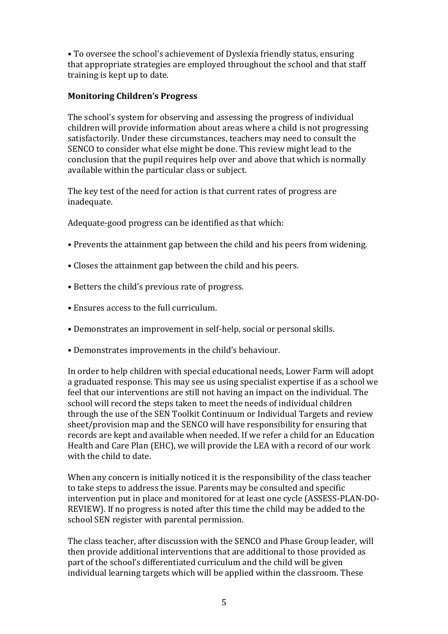• To oversee the school's achievement of Dyslexia friendly status, ensuring that appropriate strategies are employed throughout the school and that staff training is kept up to date.

## **Monitoring Children's Progress**

The school's system for observing and assessing the progress of individual children will provide information about areas where a child is not progressing satisfactorily. Under these circumstances, teachers may need to consult the SENCO to consider what else might be done. This review might lead to the conclusion that the pupil requires help over and above that which is normally available within the particular class or subject.

The key test of the need for action is that current rates of progress are inadequate.

Adequate-good progress can be identified as that which:

- Prevents the attainment gap between the child and his peers from widening.
- Closes the attainment gap between the child and his peers.
- Betters the child's previous rate of progress.
- Ensures access to the full curriculum.
- Demonstrates an improvement in self-help, social or personal skills.
- Demonstrates improvements in the child's behaviour.

In order to help children with special educational needs, Lower Farm will adopt a graduated response. This may see us using specialist expertise if as a school we feel that our interventions are still not having an impact on the individual. The school will record the steps taken to meet the needs of individual children through the use of the SEN Toolkit Continuum or Individual Targets and review sheet/provision map and the SENCO will have responsibility for ensuring that records are kept and available when needed. If we refer a child for an Education Health and Care Plan (EHC), we will provide the LEA with a record of our work with the child to date.

When any concern is initially noticed it is the responsibility of the class teacher to take steps to address the issue. Parents may be consulted and specific intervention put in place and monitored for at least one cycle (ASSESS-PLAN-DO-REVIEW). If no progress is noted after this time the child may be added to the school SEN register with parental permission.

The class teacher, after discussion with the SENCO and Phase Group leader, will then provide additional interventions that are additional to those provided as part of the school's differentiated curriculum and the child will be given individual learning targets which will be applied within the classroom. These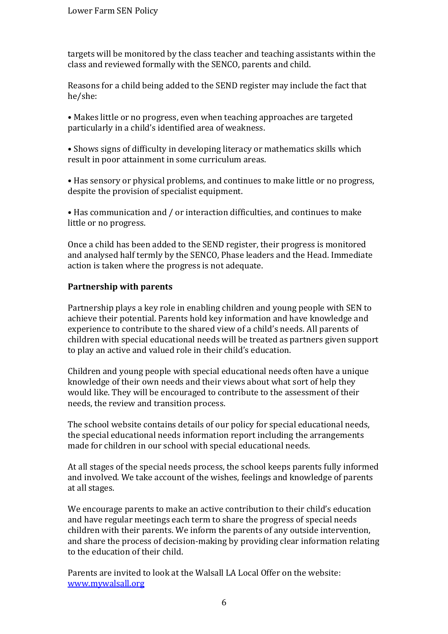targets will be monitored by the class teacher and teaching assistants within the class and reviewed formally with the SENCO, parents and child.

Reasons for a child being added to the SEND register may include the fact that he/she:

• Makes little or no progress, even when teaching approaches are targeted particularly in a child's identified area of weakness.

• Shows signs of difficulty in developing literacy or mathematics skills which result in poor attainment in some curriculum areas.

• Has sensory or physical problems, and continues to make little or no progress, despite the provision of specialist equipment.

• Has communication and / or interaction difficulties, and continues to make little or no progress.

Once a child has been added to the SEND register, their progress is monitored and analysed half termly by the SENCO, Phase leaders and the Head. Immediate action is taken where the progress is not adequate.

## **Partnership with parents**

Partnership plays a key role in enabling children and young people with SEN to achieve their potential. Parents hold key information and have knowledge and experience to contribute to the shared view of a child's needs. All parents of children with special educational needs will be treated as partners given support to play an active and valued role in their child's education.

Children and young people with special educational needs often have a unique knowledge of their own needs and their views about what sort of help they would like. They will be encouraged to contribute to the assessment of their needs, the review and transition process.

The school website contains details of our policy for special educational needs, the special educational needs information report including the arrangements made for children in our school with special educational needs.

At all stages of the special needs process, the school keeps parents fully informed and involved. We take account of the wishes, feelings and knowledge of parents at all stages.

We encourage parents to make an active contribution to their child's education and have regular meetings each term to share the progress of special needs children with their parents. We inform the parents of any outside intervention, and share the process of decision-making by providing clear information relating to the education of their child.

Parents are invited to look at the Walsall LA Local Offer on the website: [www.mywalsall.org](http://www.mywalsall.org/)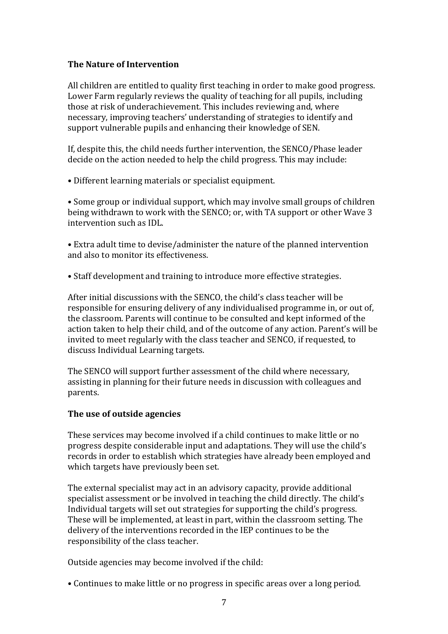#### **The Nature of Intervention**

All children are entitled to quality first teaching in order to make good progress. Lower Farm regularly reviews the quality of teaching for all pupils, including those at risk of underachievement. This includes reviewing and, where necessary, improving teachers' understanding of strategies to identify and support vulnerable pupils and enhancing their knowledge of SEN.

If, despite this, the child needs further intervention, the SENCO/Phase leader decide on the action needed to help the child progress. This may include:

• Different learning materials or specialist equipment.

• Some group or individual support, which may involve small groups of children being withdrawn to work with the SENCO; or, with TA support or other Wave 3 intervention such as IDL.

• Extra adult time to devise/administer the nature of the planned intervention and also to monitor its effectiveness.

• Staff development and training to introduce more effective strategies.

After initial discussions with the SENCO, the child's class teacher will be responsible for ensuring delivery of any individualised programme in, or out of, the classroom. Parents will continue to be consulted and kept informed of the action taken to help their child, and of the outcome of any action. Parent's will be invited to meet regularly with the class teacher and SENCO, if requested, to discuss Individual Learning targets.

The SENCO will support further assessment of the child where necessary, assisting in planning for their future needs in discussion with colleagues and parents.

#### **The use of outside agencies**

These services may become involved if a child continues to make little or no progress despite considerable input and adaptations. They will use the child's records in order to establish which strategies have already been employed and which targets have previously been set.

The external specialist may act in an advisory capacity, provide additional specialist assessment or be involved in teaching the child directly. The child's Individual targets will set out strategies for supporting the child's progress. These will be implemented, at least in part, within the classroom setting. The delivery of the interventions recorded in the IEP continues to be the responsibility of the class teacher.

Outside agencies may become involved if the child:

• Continues to make little or no progress in specific areas over a long period.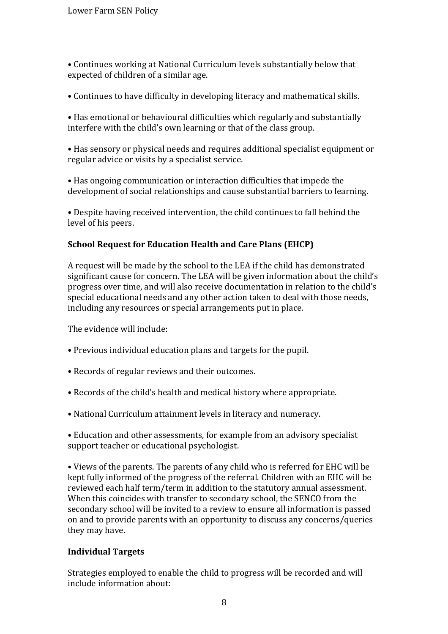• Continues working at National Curriculum levels substantially below that expected of children of a similar age.

• Continues to have difficulty in developing literacy and mathematical skills.

• Has emotional or behavioural difficulties which regularly and substantially interfere with the child's own learning or that of the class group.

• Has sensory or physical needs and requires additional specialist equipment or regular advice or visits by a specialist service.

• Has ongoing communication or interaction difficulties that impede the development of social relationships and cause substantial barriers to learning.

• Despite having received intervention, the child continues to fall behind the level of his peers.

# **School Request for Education Health and Care Plans (EHCP)**

A request will be made by the school to the LEA if the child has demonstrated significant cause for concern. The LEA will be given information about the child's progress over time, and will also receive documentation in relation to the child's special educational needs and any other action taken to deal with those needs, including any resources or special arrangements put in place.

The evidence will include:

- Previous individual education plans and targets for the pupil.
- Records of regular reviews and their outcomes.
- Records of the child's health and medical history where appropriate.
- National Curriculum attainment levels in literacy and numeracy.

• Education and other assessments, for example from an advisory specialist support teacher or educational psychologist.

• Views of the parents. The parents of any child who is referred for EHC will be kept fully informed of the progress of the referral. Children with an EHC will be reviewed each half term/term in addition to the statutory annual assessment. When this coincides with transfer to secondary school, the SENCO from the secondary school will be invited to a review to ensure all information is passed on and to provide parents with an opportunity to discuss any concerns/queries they may have.

# **Individual Targets**

Strategies employed to enable the child to progress will be recorded and will include information about: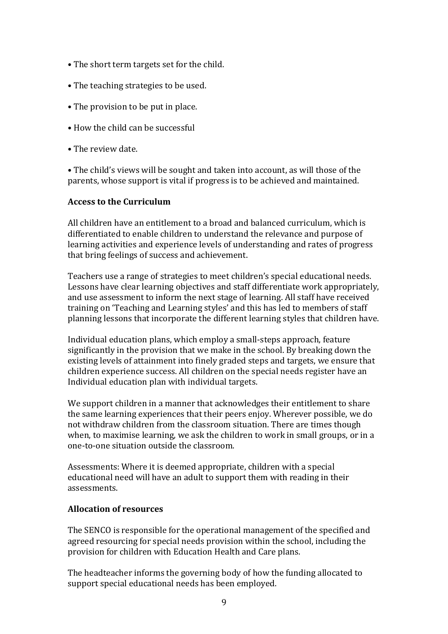- The short term targets set for the child.
- The teaching strategies to be used.
- The provision to be put in place.
- How the child can be successful
- The review date.

• The child's views will be sought and taken into account, as will those of the parents, whose support is vital if progress is to be achieved and maintained.

#### **Access to the Curriculum**

All children have an entitlement to a broad and balanced curriculum, which is differentiated to enable children to understand the relevance and purpose of learning activities and experience levels of understanding and rates of progress that bring feelings of success and achievement.

Teachers use a range of strategies to meet children's special educational needs. Lessons have clear learning objectives and staff differentiate work appropriately, and use assessment to inform the next stage of learning. All staff have received training on 'Teaching and Learning styles' and this has led to members of staff planning lessons that incorporate the different learning styles that children have.

Individual education plans, which employ a small-steps approach, feature significantly in the provision that we make in the school. By breaking down the existing levels of attainment into finely graded steps and targets, we ensure that children experience success. All children on the special needs register have an Individual education plan with individual targets.

We support children in a manner that acknowledges their entitlement to share the same learning experiences that their peers enjoy. Wherever possible, we do not withdraw children from the classroom situation. There are times though when, to maximise learning, we ask the children to work in small groups, or in a one-to-one situation outside the classroom.

Assessments: Where it is deemed appropriate, children with a special educational need will have an adult to support them with reading in their assessments.

#### **Allocation of resources**

The SENCO is responsible for the operational management of the specified and agreed resourcing for special needs provision within the school, including the provision for children with Education Health and Care plans.

The headteacher informs the governing body of how the funding allocated to support special educational needs has been employed.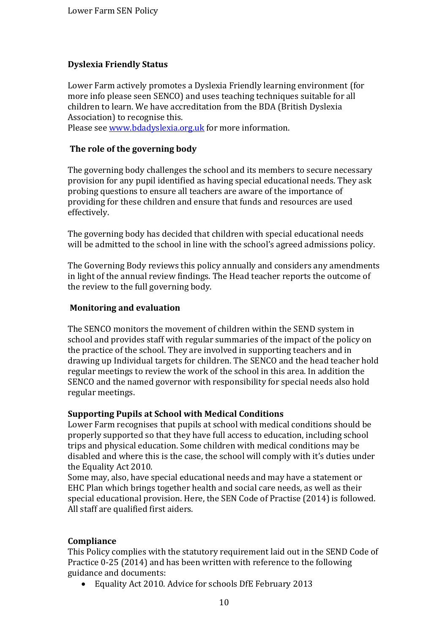# **Dyslexia Friendly Status**

Lower Farm actively promotes a Dyslexia Friendly learning environment (for more info please seen SENCO) and uses teaching techniques suitable for all children to learn. We have accreditation from the BDA (British Dyslexia Association) to recognise this.

Please see [www.bdadyslexia.org.uk](http://www.bdadyslexia.org.uk/) for more information.

## **The role of the governing body**

The governing body challenges the school and its members to secure necessary provision for any pupil identified as having special educational needs. They ask probing questions to ensure all teachers are aware of the importance of providing for these children and ensure that funds and resources are used effectively.

The governing body has decided that children with special educational needs will be admitted to the school in line with the school's agreed admissions policy.

The Governing Body reviews this policy annually and considers any amendments in light of the annual review findings. The Head teacher reports the outcome of the review to the full governing body.

## **Monitoring and evaluation**

The SENCO monitors the movement of children within the SEND system in school and provides staff with regular summaries of the impact of the policy on the practice of the school. They are involved in supporting teachers and in drawing up Individual targets for children. The SENCO and the head teacher hold regular meetings to review the work of the school in this area. In addition the SENCO and the named governor with responsibility for special needs also hold regular meetings.

#### **Supporting Pupils at School with Medical Conditions**

Lower Farm recognises that pupils at school with medical conditions should be properly supported so that they have full access to education, including school trips and physical education. Some children with medical conditions may be disabled and where this is the case, the school will comply with it's duties under the Equality Act 2010.

Some may, also, have special educational needs and may have a statement or EHC Plan which brings together health and social care needs, as well as their special educational provision. Here, the SEN Code of Practise (2014) is followed. All staff are qualified first aiders.

#### **Compliance**

This Policy complies with the statutory requirement laid out in the SEND Code of Practice 0-25 (2014) and has been written with reference to the following guidance and documents:

Equality Act 2010. Advice for schools DfE February 2013